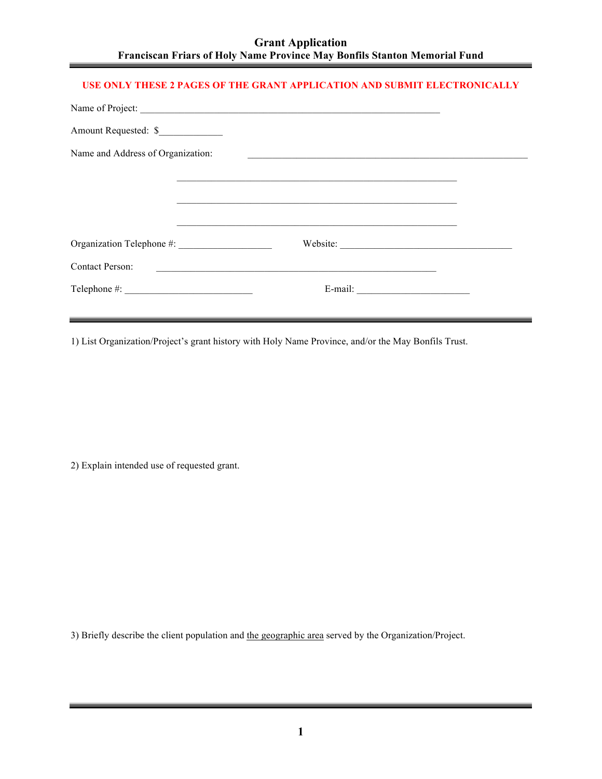| <b>Grant Application</b>                                                         |
|----------------------------------------------------------------------------------|
| <b>Franciscan Friars of Holy Name Province May Bonfils Stanton Memorial Fund</b> |

## **USE ONLY THESE 2 PAGES OF THE GRANT APPLICATION AND SUBMIT ELECTRONICALLY**

| Name of Project:                  |                                                                                                                      |  |
|-----------------------------------|----------------------------------------------------------------------------------------------------------------------|--|
|                                   |                                                                                                                      |  |
| Name and Address of Organization: | <u> 1980 - Antonio Alemania, prima postala de la provincia de la provincia de la provincia de la provincia de la</u> |  |
|                                   | ,我们也不能在这里的时候,我们也不能在这里的时候,我们也不能会在这里的时候,我们也不能会在这里的时候,我们也不能会在这里的时候,我们也不能会在这里的时候,我们也                                     |  |
|                                   |                                                                                                                      |  |
|                                   | ,我们也不能在这里的时候,我们也不能在这里的时候,我们也不能会在这里的时候,我们也不能会在这里的时候,我们也不能会在这里的时候,我们也不能会在这里的时候,我们也                                     |  |
|                                   |                                                                                                                      |  |
| <b>Contact Person:</b>            | <u> 1980 - Andrea State Barbara, amerikan personal di sebagai personal di sebagai personal di sebagai personal d</u> |  |
|                                   | E-mail: $\qquad \qquad$                                                                                              |  |
|                                   |                                                                                                                      |  |

1) List Organization/Project's grant history with Holy Name Province, and/or the May Bonfils Trust.

2) Explain intended use of requested grant.

3) Briefly describe the client population and the geographic area served by the Organization/Project.